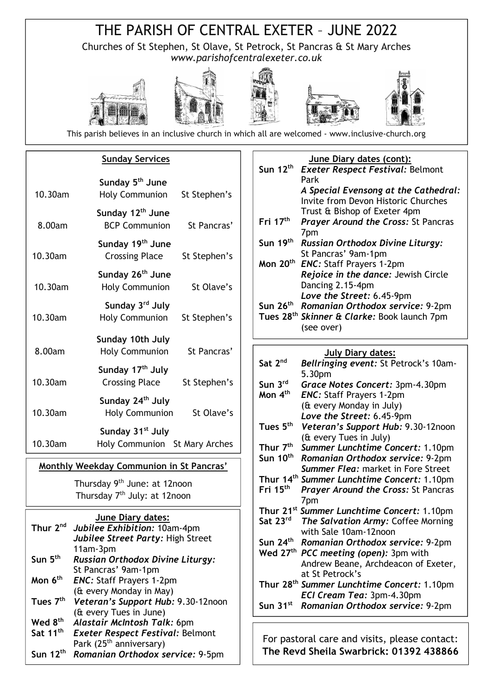